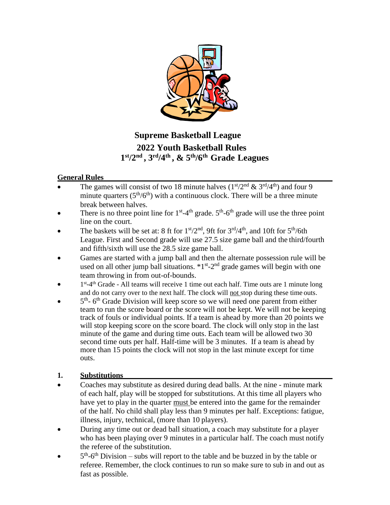

# **Supreme Basketball League 2022 Youth Basketball Rules 1 st/2nd , 3rd/4th , & 5th/6th Grade Leagues**

### **General Rules**

- The games will consist of two 18 minute halves  $(1<sup>st</sup>/2<sup>nd</sup> \& 3<sup>rd</sup>/4<sup>th</sup>)$  and four 9 minute quarters  $(5<sup>th</sup>/6<sup>th</sup>)$  with a continuous clock. There will be a three minute break between halves.
- There is no three point line for  $1<sup>st</sup> 4<sup>th</sup>$  grade.  $5<sup>th</sup> 6<sup>th</sup>$  grade will use the three point line on the court.
- The baskets will be set at: 8 ft for  $1<sup>st</sup>/2<sup>nd</sup>$ , 9ft for  $3<sup>rd</sup>/4<sup>th</sup>$ , and 10ft for  $5<sup>th</sup>/6th$ League. First and Second grade will use 27.5 size game ball and the third/fourth and fifth/sixth will use the 28.5 size game ball.
- Games are started with a jump ball and then the alternate possession rule will be used on all other jump ball situations.  $*1^{st}$ -2<sup>nd</sup> grade games will begin with one team throwing in from out-of-bounds.
- $\bullet$  1<sup>st</sup>-4<sup>th</sup> Grade All teams will receive 1 time out each half. Time outs are 1 minute long and do not carry over to the next half. The clock will not stop during these time outs.
- $\bullet$  5<sup>th</sup>-6<sup>th</sup> Grade Division will keep score so we will need one parent from either team to run the score board or the score will not be kept. We will not be keeping track of fouls or individual points. If a team is ahead by more than 20 points we will stop keeping score on the score board. The clock will only stop in the last minute of the game and during time outs. Each team will be allowed two 30 second time outs per half. Half-time will be 3 minutes. If a team is ahead by more than 15 points the clock will not stop in the last minute except for time outs.

### **1. Substitutions**

- Coaches may substitute as desired during dead balls. At the nine minute mark of each half, play will be stopped for substitutions. At this time all players who have yet to play in the quarter must be entered into the game for the remainder of the half. No child shall play less than 9 minutes per half. Exceptions: fatigue, illness, injury, technical, (more than 10 players).
- During any time out or dead ball situation, a coach may substitute for a player who has been playing over 9 minutes in a particular half. The coach must notify the referee of the substitution.
- $\bullet$  5<sup>th</sup>-6<sup>th</sup> Division subs will report to the table and be buzzed in by the table or referee. Remember, the clock continues to run so make sure to sub in and out as fast as possible.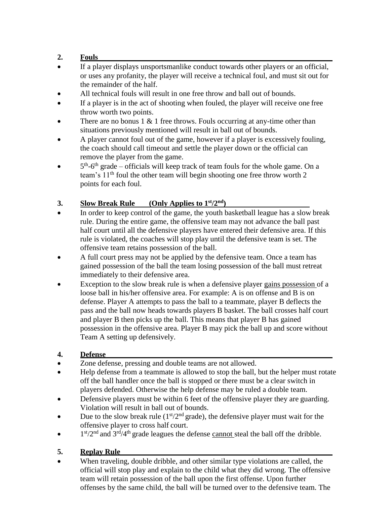### **2. Fouls**

- If a player displays unsportsmanlike conduct towards other players or an official, or uses any profanity, the player will receive a technical foul, and must sit out for the remainder of the half.
- All technical fouls will result in one free throw and ball out of bounds.
- If a player is in the act of shooting when fouled, the player will receive one free throw worth two points.
- There are no bonus  $1 \& 1$  free throws. Fouls occurring at any-time other than situations previously mentioned will result in ball out of bounds.
- A player cannot foul out of the game, however if a player is excessively fouling, the coach should call timeout and settle the player down or the official can remove the player from the game.
- $\bullet$  5<sup>th</sup>-6<sup>th</sup> grade officials will keep track of team fouls for the whole game. On a team's  $11<sup>th</sup>$  foul the other team will begin shooting one free throw worth 2 points for each foul.

# **3. Slow Break Rule (Only Applies to 1 st/2nd)**

- In order to keep control of the game, the youth basketball league has a slow break rule. During the entire game, the offensive team may not advance the ball past half court until all the defensive players have entered their defensive area. If this rule is violated, the coaches will stop play until the defensive team is set. The offensive team retains possession of the ball.
- A full court press may not be applied by the defensive team. Once a team has gained possession of the ball the team losing possession of the ball must retreat immediately to their defensive area.
- Exception to the slow break rule is when a defensive player gains possession of a loose ball in his/her offensive area. For example: A is on offense and B is on defense. Player A attempts to pass the ball to a teammate, player B deflects the pass and the ball now heads towards players B basket. The ball crosses half court and player B then picks up the ball. This means that player B has gained possession in the offensive area. Player B may pick the ball up and score without Team A setting up defensively.

### **4. Defense**

- Zone defense, pressing and double teams are not allowed.
- Help defense from a teammate is allowed to stop the ball, but the helper must rotate off the ball handler once the ball is stopped or there must be a clear switch in players defended. Otherwise the help defense may be ruled a double team.
- Defensive players must be within 6 feet of the offensive player they are guarding. Violation will result in ball out of bounds.
- Due to the slow break rule  $(1<sup>st</sup>/2<sup>nd</sup> grade)$ , the defensive player must wait for the offensive player to cross half court.
- $\bullet$  1<sup>st</sup>/2<sup>nd</sup> and 3<sup>rd</sup>/4<sup>th</sup> grade leagues the defense cannot steal the ball off the dribble.

# **5. Replay Rule**

When traveling, double dribble, and other similar type violations are called, the official will stop play and explain to the child what they did wrong. The offensive team will retain possession of the ball upon the first offense. Upon further offenses by the same child, the ball will be turned over to the defensive team. The